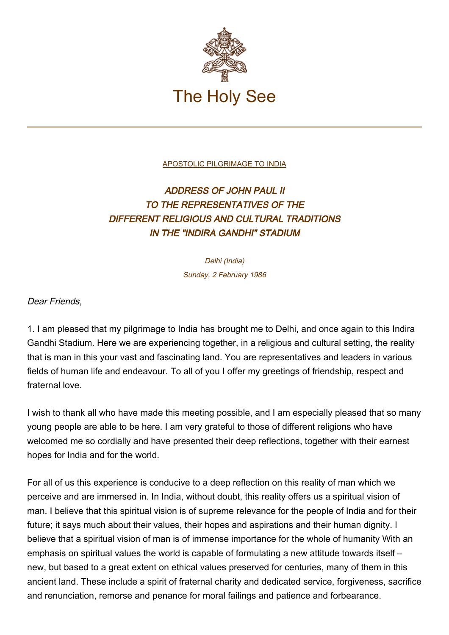

[APOSTOLIC PILGRIMAGE TO INDIA](http://localhost/holy_father/john_paul_ii/travels/sub_index1986/trav_india.htm)

## ADDRESS OF JOHN PAUL II TO THE REPRESENTATIVES OF THE DIFFERENT RELIGIOUS AND CULTURAL TRADITIONS IN THE "INDIRA GANDHI" STADIUM

Delhi (India) Sunday, 2 February 1986

Dear Friends,

1. I am pleased that my pilgrimage to India has brought me to Delhi, and once again to this Indira Gandhi Stadium. Here we are experiencing together, in a religious and cultural setting, the reality that is man in this your vast and fascinating land. You are representatives and leaders in various fields of human life and endeavour. To all of you I offer my greetings of friendship, respect and fraternal love.

I wish to thank all who have made this meeting possible, and I am especially pleased that so many young people are able to be here. I am very grateful to those of different religions who have welcomed me so cordially and have presented their deep reflections, together with their earnest hopes for India and for the world.

For all of us this experience is conducive to a deep reflection on this reality of man which we perceive and are immersed in. In India, without doubt, this reality offers us a spiritual vision of man. I believe that this spiritual vision is of supreme relevance for the people of India and for their future; it says much about their values, their hopes and aspirations and their human dignity. I believe that a spiritual vision of man is of immense importance for the whole of humanity With an emphasis on spiritual values the world is capable of formulating a new attitude towards itself – new, but based to a great extent on ethical values preserved for centuries, many of them in this ancient land. These include a spirit of fraternal charity and dedicated service, forgiveness, sacrifice and renunciation, remorse and penance for moral failings and patience and forbearance.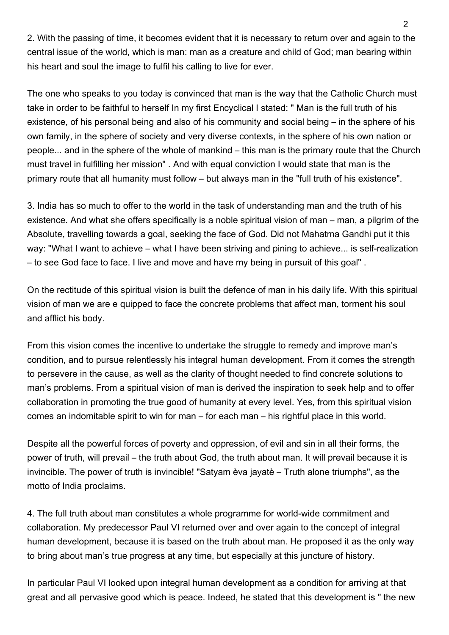2. With the passing of time, it becomes evident that it is necessary to return over and again to the central issue of the world, which is man: man as a creature and child of God; man bearing within his heart and soul the image to fulfil his calling to live for ever.

The one who speaks to you today is convinced that man is the way that the Catholic Church must take in order to be faithful to herself In my first Encyclical I stated: " Man is the full truth of his existence, of his personal being and also of his community and social being – in the sphere of his own family, in the sphere of society and very diverse contexts, in the sphere of his own nation or people... and in the sphere of the whole of mankind – this man is the primary route that the Church must travel in fulfilling her mission" . And with equal conviction I would state that man is the primary route that all humanity must follow – but always man in the "full truth of his existence".

3. India has so much to offer to the world in the task of understanding man and the truth of his existence. And what she offers specifically is a noble spiritual vision of man – man, a pilgrim of the Absolute, travelling towards a goal, seeking the face of God. Did not Mahatma Gandhi put it this way: "What I want to achieve – what I have been striving and pining to achieve... is self-realization – to see God face to face. I live and move and have my being in pursuit of this goal" .

On the rectitude of this spiritual vision is built the defence of man in his daily life. With this spiritual vision of man we are e quipped to face the concrete problems that affect man, torment his soul and afflict his body.

From this vision comes the incentive to undertake the struggle to remedy and improve man's condition, and to pursue relentlessly his integral human development. From it comes the strength to persevere in the cause, as well as the clarity of thought needed to find concrete solutions to man's problems. From a spiritual vision of man is derived the inspiration to seek help and to offer collaboration in promoting the true good of humanity at every level. Yes, from this spiritual vision comes an indomitable spirit to win for man – for each man – his rightful place in this world.

Despite all the powerful forces of poverty and oppression, of evil and sin in all their forms, the power of truth, will prevail – the truth about God, the truth about man. It will prevail because it is invincible. The power of truth is invincible! "Satyam èva jayatè – Truth alone triumphs", as the motto of India proclaims.

4. The full truth about man constitutes a whole programme for world-wide commitment and collaboration. My predecessor Paul VI returned over and over again to the concept of integral human development, because it is based on the truth about man. He proposed it as the only way to bring about man's true progress at any time, but especially at this juncture of history.

In particular Paul VI looked upon integral human development as a condition for arriving at that great and all pervasive good which is peace. Indeed, he stated that this development is " the new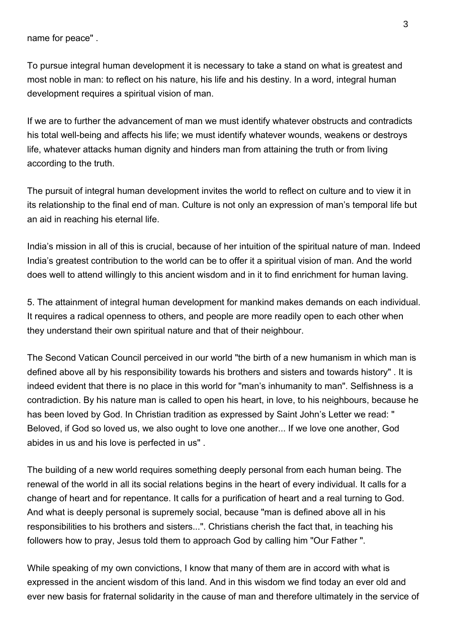name for peace" .

To pursue integral human development it is necessary to take a stand on what is greatest and most noble in man: to reflect on his nature, his life and his destiny. In a word, integral human development requires a spiritual vision of man.

If we are to further the advancement of man we must identify whatever obstructs and contradicts his total well-being and affects his life; we must identify whatever wounds, weakens or destroys life, whatever attacks human dignity and hinders man from attaining the truth or from living according to the truth.

The pursuit of integral human development invites the world to reflect on culture and to view it in its relationship to the final end of man. Culture is not only an expression of man's temporal life but an aid in reaching his eternal life.

India's mission in all of this is crucial, because of her intuition of the spiritual nature of man. Indeed India's greatest contribution to the world can be to offer it a spiritual vision of man. And the world does well to attend willingly to this ancient wisdom and in it to find enrichment for human laving.

5. The attainment of integral human development for mankind makes demands on each individual. It requires a radical openness to others, and people are more readily open to each other when they understand their own spiritual nature and that of their neighbour.

The Second Vatican Council perceived in our world "the birth of a new humanism in which man is defined above all by his responsibility towards his brothers and sisters and towards history" . It is indeed evident that there is no place in this world for "man's inhumanity to man". Selfishness is a contradiction. By his nature man is called to open his heart, in love, to his neighbours, because he has been loved by God. In Christian tradition as expressed by Saint John's Letter we read: " Beloved, if God so loved us, we also ought to love one another... If we love one another, God abides in us and his love is perfected in us" .

The building of a new world requires something deeply personal from each human being. The renewal of the world in all its social relations begins in the heart of every individual. It calls for a change of heart and for repentance. It calls for a purification of heart and a real turning to God. And what is deeply personal is supremely social, because "man is defined above all in his responsibilities to his brothers and sisters...". Christians cherish the fact that, in teaching his followers how to pray, Jesus told them to approach God by calling him "Our Father ".

While speaking of my own convictions, I know that many of them are in accord with what is expressed in the ancient wisdom of this land. And in this wisdom we find today an ever old and ever new basis for fraternal solidarity in the cause of man and therefore ultimately in the service of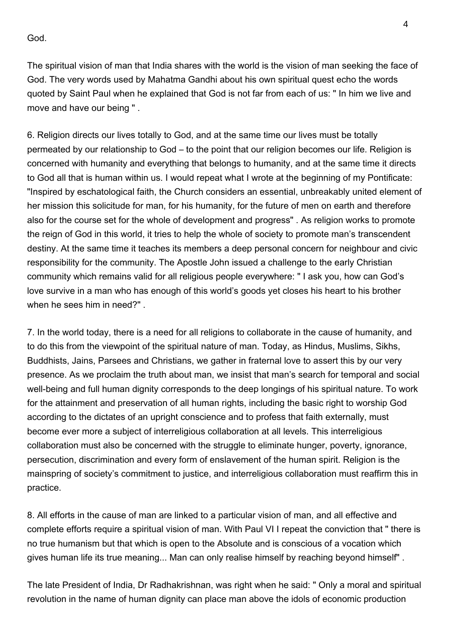God.

The spiritual vision of man that India shares with the world is the vision of man seeking the face of God. The very words used by Mahatma Gandhi about his own spiritual quest echo the words quoted by Saint Paul when he explained that God is not far from each of us: " In him we live and move and have our being " .

6. Religion directs our lives totally to God, and at the same time our lives must be totally permeated by our relationship to God – to the point that our religion becomes our life. Religion is concerned with humanity and everything that belongs to humanity, and at the same time it directs to God all that is human within us. I would repeat what I wrote at the beginning of my Pontificate: "Inspired by eschatological faith, the Church considers an essential, unbreakably united element of her mission this solicitude for man, for his humanity, for the future of men on earth and therefore also for the course set for the whole of development and progress" . As religion works to promote the reign of God in this world, it tries to help the whole of society to promote man's transcendent destiny. At the same time it teaches its members a deep personal concern for neighbour and civic responsibility for the community. The Apostle John issued a challenge to the early Christian community which remains valid for all religious people everywhere: " I ask you, how can God's love survive in a man who has enough of this world's goods yet closes his heart to his brother when he sees him in need?" .

7. In the world today, there is a need for all religions to collaborate in the cause of humanity, and to do this from the viewpoint of the spiritual nature of man. Today, as Hindus, Muslims, Sikhs, Buddhists, Jains, Parsees and Christians, we gather in fraternal love to assert this by our very presence. As we proclaim the truth about man, we insist that man's search for temporal and social well-being and full human dignity corresponds to the deep longings of his spiritual nature. To work for the attainment and preservation of all human rights, including the basic right to worship God according to the dictates of an upright conscience and to profess that faith externally, must become ever more a subject of interreligious collaboration at all levels. This interreligious collaboration must also be concerned with the struggle to eliminate hunger, poverty, ignorance, persecution, discrimination and every form of enslavement of the human spirit. Religion is the mainspring of society's commitment to justice, and interreligious collaboration must reaffirm this in practice.

8. All efforts in the cause of man are linked to a particular vision of man, and all effective and complete efforts require a spiritual vision of man. With Paul VI I repeat the conviction that " there is no true humanism but that which is open to the Absolute and is conscious of a vocation which gives human life its true meaning... Man can only realise himself by reaching beyond himself" .

The late President of India, Dr Radhakrishnan, was right when he said: " Only a moral and spiritual revolution in the name of human dignity can place man above the idols of economic production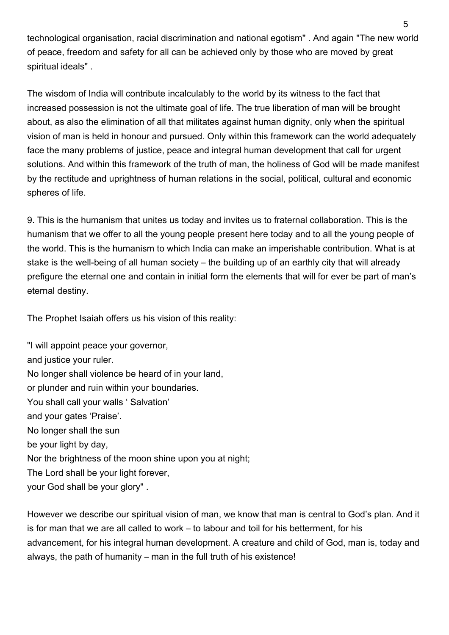technological organisation, racial discrimination and national egotism" . And again "The new world of peace, freedom and safety for all can be achieved only by those who are moved by great spiritual ideals" .

The wisdom of India will contribute incalculably to the world by its witness to the fact that increased possession is not the ultimate goal of life. The true liberation of man will be brought about, as also the elimination of all that militates against human dignity, only when the spiritual vision of man is held in honour and pursued. Only within this framework can the world adequately face the many problems of justice, peace and integral human development that call for urgent solutions. And within this framework of the truth of man, the holiness of God will be made manifest by the rectitude and uprightness of human relations in the social, political, cultural and economic spheres of life.

9. This is the humanism that unites us today and invites us to fraternal collaboration. This is the humanism that we offer to all the young people present here today and to all the young people of the world. This is the humanism to which India can make an imperishable contribution. What is at stake is the well-being of all human society – the building up of an earthly city that will already prefigure the eternal one and contain in initial form the elements that will for ever be part of man's eternal destiny.

The Prophet Isaiah offers us his vision of this reality:

"I will appoint peace your governor, and justice your ruler. No longer shall violence be heard of in your land, or plunder and ruin within your boundaries. You shall call your walls ' Salvation' and your gates 'Praise'. No longer shall the sun be your light by day, Nor the brightness of the moon shine upon you at night; The Lord shall be your light forever, your God shall be your glory" .

However we describe our spiritual vision of man, we know that man is central to God's plan. And it is for man that we are all called to work – to labour and toil for his betterment, for his advancement, for his integral human development. A creature and child of God, man is, today and always, the path of humanity – man in the full truth of his existence!